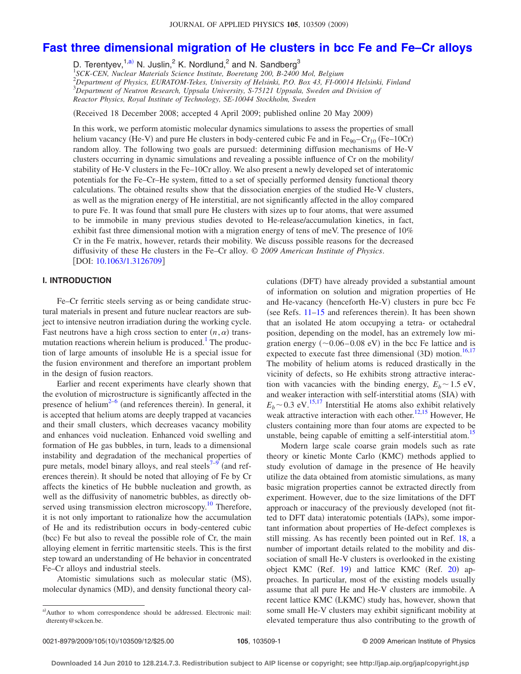# **[Fast three dimensional migration of He clusters in bcc Fe and Fe–Cr alloys](http://dx.doi.org/10.1063/1.3126709)**

D. Terentyev,<sup>1[,a](#page-0-0))</sup> N. Juslin,<sup>2</sup> K. Nordlund,<sup>2</sup> and N. Sandberg<sup>3</sup>

 *SCK-CEN, Nuclear Materials Science Institute, Boeretang 200, B-2400 Mol, Belgium Department of Physics, EURATOM-Tekes, University of Helsinki, P.O. Box 43, FI-00014 Helsinki, Finland Department of Neutron Research, Uppsala University, S-75121 Uppsala, Sweden and Division of Reactor Physics, Royal Institute of Technology, SE-10044 Stockholm, Sweden*

(Received 18 December 2008; accepted 4 April 2009; published online 20 May 2009)

In this work, we perform atomistic molecular dynamics simulations to assess the properties of small helium vacancy (He-V) and pure He clusters in body-centered cubic Fe and in  $Fe_{90}-Cr_{10}$  (Fe–10Cr) random alloy. The following two goals are pursued: determining diffusion mechanisms of He-V clusters occurring in dynamic simulations and revealing a possible influence of Cr on the mobility/ stability of He-V clusters in the Fe–10Cr alloy. We also present a newly developed set of interatomic potentials for the Fe–Cr–He system, fitted to a set of specially performed density functional theory calculations. The obtained results show that the dissociation energies of the studied He-V clusters, as well as the migration energy of He interstitial, are not significantly affected in the alloy compared to pure Fe. It was found that small pure He clusters with sizes up to four atoms, that were assumed to be immobile in many previous studies devoted to He-release/accumulation kinetics, in fact, exhibit fast three dimensional motion with a migration energy of tens of meV. The presence of 10% Cr in the Fe matrix, however, retards their mobility. We discuss possible reasons for the decreased diffusivity of these He clusters in the Fe–Cr alloy. © *2009 American Institute of Physics*. [DOI: [10.1063/1.3126709](http://dx.doi.org/10.1063/1.3126709)]

# **I. INTRODUCTION**

Fe–Cr ferritic steels serving as or being candidate structural materials in present and future nuclear reactors are subject to intensive neutron irradiation during the working cycle. Fast neutrons have a high cross section to enter  $(n, \alpha)$  transmutation reactions wherein helium is produced.<sup>1</sup> The production of large amounts of insoluble He is a special issue for the fusion environment and therefore an important problem in the design of fusion reactors.

Earlier and recent experiments have clearly shown that the evolution of microstructure is significantly affected in the presence of helium<sup>2–[6](#page-11-2)</sup> (and references therein). In general, it is accepted that helium atoms are deeply trapped at vacancies and their small clusters, which decreases vacancy mobility and enhances void nucleation. Enhanced void swelling and formation of He gas bubbles, in turn, leads to a dimensional instability and degradation of the mechanical properties of pure metals, model binary alloys, and real steels<sup> $7-9$  $7-9$ </sup> (and references therein). It should be noted that alloying of Fe by Cr affects the kinetics of He bubble nucleation and growth, as well as the diffusivity of nanometric bubbles, as directly observed using transmission electron microscopy.<sup>10</sup> Therefore, it is not only important to rationalize how the accumulation of He and its redistribution occurs in body-centered cubic (bcc) Fe but also to reveal the possible role of Cr, the main alloying element in ferritic martensitic steels. This is the first step toward an understanding of He behavior in concentrated Fe–Cr alloys and industrial steels.

Atomistic simulations such as molecular static (MS), molecular dynamics (MD), and density functional theory cal-

culations (DFT) have already provided a substantial amount of information on solution and migration properties of He and He-vacancy (henceforth He-V) clusters in pure bcc Fe (see Refs.  $11-15$  $11-15$  and references therein). It has been shown that an isolated He atom occupying a tetra- or octahedral position, depending on the model, has an extremely low migration energy  $(\sim 0.06 - 0.08 \text{ eV})$  in the bcc Fe lattice and is expected to execute fast three dimensional  $(3D)$  motion.<sup>16[,17](#page-11-9)</sup> The mobility of helium atoms is reduced drastically in the vicinity of defects, so He exhibits strong attractive interaction with vacancies with the binding energy,  $E_b \sim 1.5 \text{ eV}$ , and weaker interaction with self-interstitial atoms (SIA) with  $E_b \sim 0.3$  eV.<sup>15[,17](#page-11-9)</sup> Interstitial He atoms also exhibit relatively weak attractive interaction with each other.<sup>12[,15](#page-11-7)</sup> However, He clusters containing more than four atoms are expected to be unstable, being capable of emitting a self-interstitial atom.<sup>15</sup>

Modern large scale coarse grain models such as rate theory or kinetic Monte Carlo (KMC) methods applied to study evolution of damage in the presence of He heavily utilize the data obtained from atomistic simulations, as many basic migration properties cannot be extracted directly from experiment. However, due to the size limitations of the DFT approach or inaccuracy of the previously developed (not fitted to DFT data) interatomic potentials (IAPs), some important information about properties of He-defect complexes is still missing. As has recently been pointed out in Ref. [18,](#page-11-11) a number of important details related to the mobility and dissociation of small He-V clusters is overlooked in the existing object KMC (Ref. [19](#page-11-12)) and lattice KMC (Ref. [20](#page-11-13)) approaches. In particular, most of the existing models usually assume that all pure He and He-V clusters are immobile. A recent lattice KMC (LKMC) study has, however, shown that some small He-V clusters may exhibit significant mobility at elevated temperature thus also contributing to the growth of

<span id="page-0-0"></span>a)Author to whom correspondence should be addressed. Electronic mail: dterenty@sckcen.be.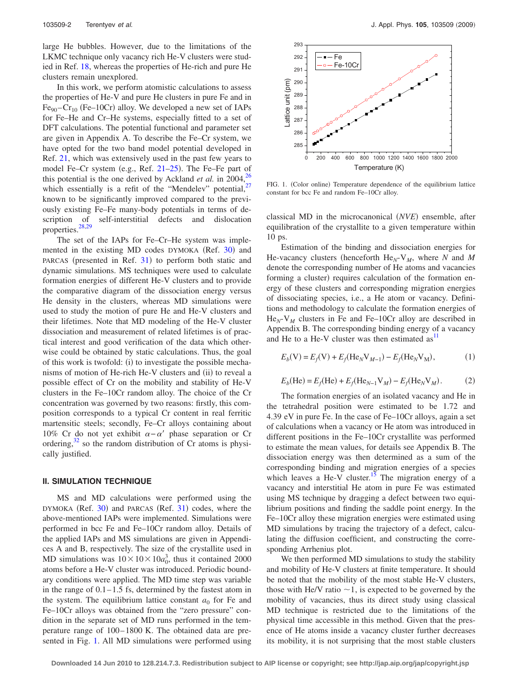large He bubbles. However, due to the limitations of the LKMC technique only vacancy rich He-V clusters were studied in Ref. [18,](#page-11-11) whereas the properties of He-rich and pure He clusters remain unexplored.

In this work, we perform atomistic calculations to assess the properties of He-V and pure He clusters in pure Fe and in Fe<sub>90</sub>-Cr<sub>10</sub> (Fe–10Cr) alloy. We developed a new set of IAPs for Fe–He and Cr–He systems, especially fitted to a set of DFT calculations. The potential functional and parameter set are given in Appendix A. To describe the Fe–Cr system, we have opted for the two band model potential developed in Ref. [21,](#page-11-14) which was extensively used in the past few years to model Fe–Cr system (e.g., Ref. [21–](#page-11-14)[25](#page-11-15)). The Fe–Fe part of this potential is the one derived by Ackland *et al.* in 2004,<sup>26</sup> which essentially is a refit of the "Mendelev" potential, $27$ known to be significantly improved compared to the previously existing Fe–Fe many-body potentials in terms of description of self-interstitial defects and dislocation properties. $28,29$  $28,29$ 

The set of the IAPs for Fe–Cr–He system was imple-mented in the existing MD codes DYMOKA (Ref. [30](#page-11-20)) and PARCAS (presented in Ref. [31](#page-11-21)) to perform both static and dynamic simulations. MS techniques were used to calculate formation energies of different He-V clusters and to provide the comparative diagram of the dissociation energy versus He density in the clusters, whereas MD simulations were used to study the motion of pure He and He-V clusters and their lifetimes. Note that MD modeling of the He-V cluster dissociation and measurement of related lifetimes is of practical interest and good verification of the data which otherwise could be obtained by static calculations. Thus, the goal of this work is twofold: (i) to investigate the possible mechanisms of motion of He-rich He-V clusters and (ii) to reveal a possible effect of Cr on the mobility and stability of He-V clusters in the Fe–10Cr random alloy. The choice of the Cr concentration was governed by two reasons: firstly, this composition corresponds to a typical Cr content in real ferritic martensitic steels; secondly, Fe–Cr alloys containing about 10% Cr do not yet exhibit  $\alpha - \alpha'$  phase separation or Cr ordering, $32$  so the random distribution of Cr atoms is physically justified.

#### **II. SIMULATION TECHNIQUE**

MS and MD calculations were performed using the DYMOKA (Ref. [30](#page-11-20)) and PARCAS (Ref. [31](#page-11-21)) codes, where the above-mentioned IAPs were implemented. Simulations were performed in bcc Fe and Fe–10Cr random alloy. Details of the applied IAPs and MS simulations are given in Appendices A and B, respectively. The size of the crystallite used in MD simulations was  $10 \times 10 \times 10a_0^3$ , thus it contained 2000 atoms before a He-V cluster was introduced. Periodic boundary conditions were applied. The MD time step was variable in the range of  $0.1-1.5$  fs, determined by the fastest atom in the system. The equilibrium lattice constant  $a_0$  for Fe and Fe–10Cr alloys was obtained from the "zero pressure" condition in the separate set of MD runs performed in the temperature range of 100–1800 K. The obtained data are presented in Fig. [1.](#page-1-0) All MD simulations were performed using

<span id="page-1-0"></span>

FIG. 1. (Color online) Temperature dependence of the equilibrium lattice constant for bcc Fe and random Fe–10Cr alloy.

classical MD in the microcanonical (NVE) ensemble, after equilibration of the crystallite to a given temperature within 10 ps.

Estimation of the binding and dissociation energies for He-vacancy clusters (henceforth  $\text{He}_N$ -V<sub>M</sub>, where *N* and *M* denote the corresponding number of He atoms and vacancies forming a cluster) requires calculation of the formation energy of these clusters and corresponding migration energies of dissociating species, i.e., a He atom or vacancy. Definitions and methodology to calculate the formation energies of  $He_N-V_M$  clusters in Fe and Fe–10Cr alloy are described in Appendix B. The corresponding binding energy of a vacancy and He to a He-V cluster was then estimated  $as<sup>11</sup>$ 

$$
E_b(V) = E_f(V) + E_f(He_N V_{M-1}) - E_f(He_N V_M),
$$
 (1)

$$
E_b(\text{He}) = E_f(\text{He}) + E_f(\text{He}_{N-1} \text{V}_M) - E_f(\text{He}_N \text{V}_M). \tag{2}
$$

The formation energies of an isolated vacancy and He in the tetrahedral position were estimated to be 1.72 and 4.39 eV in pure Fe. In the case of Fe–10Cr alloys, again a set of calculations when a vacancy or He atom was introduced in different positions in the Fe–10Cr crystallite was performed to estimate the mean values, for details see Appendix B. The dissociation energy was then determined as a sum of the corresponding binding and migration energies of a species which leaves a He-V cluster.<sup>15</sup> The migration energy of a vacancy and interstitial He atom in pure Fe was estimated using MS technique by dragging a defect between two equilibrium positions and finding the saddle point energy. In the Fe–10Cr alloy these migration energies were estimated using MD simulations by tracing the trajectory of a defect, calculating the diffusion coefficient, and constructing the corresponding Arrhenius plot.

We then performed MD simulations to study the stability and mobility of He-V clusters at finite temperature. It should be noted that the mobility of the most stable He-V clusters, those with He/V ratio  $\sim$ 1, is expected to be governed by the mobility of vacancies, thus its direct study using classical MD technique is restricted due to the limitations of the physical time accessible in this method. Given that the presence of He atoms inside a vacancy cluster further decreases its mobility, it is not surprising that the most stable clusters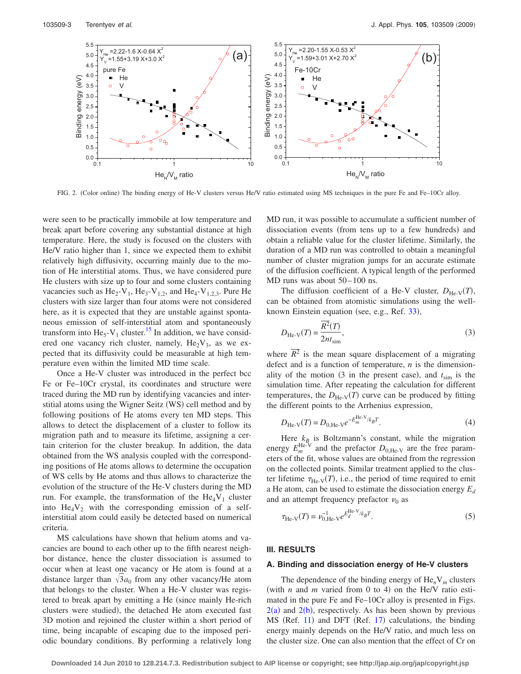<span id="page-2-0"></span>

FIG. 2. (Color online) The binding energy of He-V clusters versus He/V ratio estimated using MS techniques in the pure Fe and Fe–10Cr alloy.

were seen to be practically immobile at low temperature and break apart before covering any substantial distance at high temperature. Here, the study is focused on the clusters with He/V ratio higher than 1, since we expected them to exhibit relatively high diffusivity, occurring mainly due to the motion of He interstitial atoms. Thus, we have considered pure He clusters with size up to four and some clusters containing vacancies such as  $\text{He}_2\text{-V}_1$ ,  $\text{He}_3\text{-V}_{1,2}$ , and  $\text{He}_4\text{-V}_{1,2,3}$ . Pure He clusters with size larger than four atoms were not considered here, as it is expected that they are unstable against spontaneous emission of self-interstitial atom and spontaneously transform into  $\text{He}_5$ -V<sub>1</sub> cluster.<sup>15</sup> In addition, we have considered one vacancy rich cluster, namely,  $He_2V_3$ , as we expected that its diffusivity could be measurable at high temperature even within the limited MD time scale.

Once a He-V cluster was introduced in the perfect bcc Fe or Fe–10Cr crystal, its coordinates and structure were traced during the MD run by identifying vacancies and interstitial atoms using the Wigner Seitz (WS) cell method and by following positions of He atoms every ten MD steps. This allows to detect the displacement of a cluster to follow its migration path and to measure its lifetime, assigning a certain criterion for the cluster breakup. In addition, the data obtained from the WS analysis coupled with the corresponding positions of He atoms allows to determine the occupation of WS cells by He atoms and thus allows to characterize the evolution of the structure of the He-V clusters during the MD run. For example, the transformation of the  $He_4V_1$  cluster into  $He_4V_2$  with the corresponding emission of a selfinterstitial atom could easily be detected based on numerical criteria.

MS calculations have shown that helium atoms and vacancies are bound to each other up to the fifth nearest neighbor distance, hence the cluster dissociation is assumed to occur when at least one vacancy or He atom is found at a distance larger than  $\sqrt{3}a_0$  from any other vacancy/He atom that belongs to the cluster. When a He-V cluster was registered to break apart by emitting a He (since mainly He-rich clusters were studied), the detached He atom executed fast 3D motion and rejoined the cluster within a short period of time, being incapable of escaping due to the imposed periodic boundary conditions. By performing a relatively long MD run, it was possible to accumulate a sufficient number of dissociation events (from tens up to a few hundreds) and obtain a reliable value for the cluster lifetime. Similarly, the duration of a MD run was controlled to obtain a meaningful number of cluster migration jumps for an accurate estimate of the diffusion coefficient. A typical length of the performed MD runs was about 50–100 ns.

The diffusion coefficient of a He-V cluster,  $D_{\text{He-V}}(T)$ , can be obtained from atomistic simulations using the well-known Einstein equation (see, e.g., Ref. [33](#page-11-23)),

$$
D_{\text{He-V}}(T) = \frac{\overline{R^2(T)}}{2nt_{\text{sim}}},\tag{3}
$$

where  $\overline{R^2}$  is the mean square displacement of a migrating defect and is a function of temperature, *n* is the dimensionality of the motion  $(3 \text{ in the present case})$ , and  $t_{\text{sim}}$  is the simulation time. After repeating the calculation for different temperatures, the  $D_{\text{He-V}}(T)$  curve can be produced by fitting the different points to the Arrhenius expression,

$$
D_{\text{He-V}}(T) = D_{0,\text{He-V}} e^{-E_m^{\text{He-V}}/k_B T}.
$$
 (4)

<span id="page-2-1"></span>Here  $k_{B_i}$  is Boltzmann's constant, while the migration energy  $E_m^{\text{He-V}}$  and the prefactor  $D_{0,\text{He-V}}$  are the free parameters of the fit, whose values are obtained from the regression on the collected points. Similar treatment applied to the cluster lifetime  $\tau_{\text{He-V}}(T)$ , i.e., the period of time required to emit a He atom, can be used to estimate the dissociation energy  $E_d$ and an attempt frequency prefactor  $\nu_0$  as

<span id="page-2-2"></span>
$$
\tau_{\text{He-V}}(T) = \nu_{0,\text{He-V}}^{-1} e^{E_{d}^{\text{He-V}}/k_{B}T}.
$$
\n(5)

#### **III. RESULTS**

#### **A. Binding and dissociation energy of He-V clusters**

The dependence of the binding energy of  $He_nV_m$  clusters (with  $n$  and  $m$  varied from 0 to 4) on the He/V ratio estimated in the pure Fe and Fe–10Cr alloy is presented in Figs.  $2(a)$  $2(a)$  and  $2(b)$ , respectively. As has been shown by previous MS (Ref. [11](#page-11-6)) and DFT (Ref. [17](#page-11-9)) calculations, the binding energy mainly depends on the He/V ratio, and much less on the cluster size. One can also mention that the effect of Cr on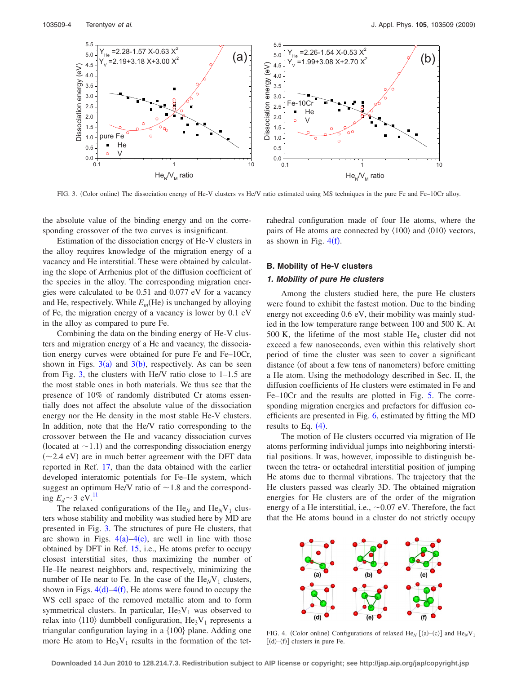<span id="page-3-0"></span>

FIG. 3. (Color online) The dissociation energy of He-V clusters vs He/V ratio estimated using MS techniques in the pure Fe and Fe–10Cr alloy.

the absolute value of the binding energy and on the corresponding crossover of the two curves is insignificant.

Estimation of the dissociation energy of He-V clusters in the alloy requires knowledge of the migration energy of a vacancy and He interstitial. These were obtained by calculating the slope of Arrhenius plot of the diffusion coefficient of the species in the alloy. The corresponding migration energies were calculated to be 0.51 and 0.077 eV for a vacancy and He, respectively. While  $E_m$ (He) is unchanged by alloying of Fe, the migration energy of a vacancy is lower by 0.1 eV in the alloy as compared to pure Fe.

Combining the data on the binding energy of He-V clusters and migration energy of a He and vacancy, the dissociation energy curves were obtained for pure Fe and Fe–10Cr, shown in Figs.  $3(a)$  $3(a)$  and  $3(b)$ , respectively. As can be seen from Fig. [3,](#page-3-0) the clusters with He/V ratio close to 1–1.5 are the most stable ones in both materials. We thus see that the presence of 10% of randomly distributed Cr atoms essentially does not affect the absolute value of the dissociation energy nor the He density in the most stable He-V clusters. In addition, note that the He/V ratio corresponding to the crossover between the He and vacancy dissociation curves (located at  $\sim$  1.1) and the corresponding dissociation energy  $(-2.4$  eV) are in much better agreement with the DFT data reported in Ref. [17,](#page-11-9) than the data obtained with the earlier developed interatomic potentials for Fe–He system, which suggest an optimum He/V ratio of  $\sim$  1.8 and the corresponding  $E_d \sim 3$  eV.<sup>11</sup>

The relaxed configurations of the  $\text{He}_N$  and  $\text{He}_N\text{V}_1$  clusters whose stability and mobility was studied here by MD are presented in Fig. [3.](#page-3-0) The structures of pure He clusters, that are shown in Figs.  $4(a) - 4(c)$  $4(a) - 4(c)$ , are well in line with those obtained by DFT in Ref. [15,](#page-11-7) i.e., He atoms prefer to occupy closest interstitial sites, thus maximizing the number of He–He nearest neighbors and, respectively, minimizing the number of He near to Fe. In the case of the  $\text{He}_N\text{V}_1$  clusters, shown in Figs.  $4(d) - 4(f)$  $4(d) - 4(f)$ , He atoms were found to occupy the WS cell space of the removed metallic atom and to form symmetrical clusters. In particular,  $He_2V_1$  was observed to relax into  $\langle 110 \rangle$  dumbbell configuration, He<sub>3</sub>V<sub>1</sub> represents a triangular configuration laying in a  ${100}$  plane. Adding one more He atom to  $\text{He}_3\text{V}_1$  results in the formation of the tetrahedral configuration made of four He atoms, where the pairs of He atoms are connected by  $\langle 100 \rangle$  and  $\langle 010 \rangle$  vectors, as shown in Fig.  $4(f)$  $4(f)$ .

# **B. Mobility of He-V clusters**

#### *1. Mobility of pure He clusters*

Among the clusters studied here, the pure He clusters were found to exhibit the fastest motion. Due to the binding energy not exceeding 0.6 eV, their mobility was mainly studied in the low temperature range between 100 and 500 K. At 500 K, the lifetime of the most stable  $He_4$  cluster did not exceed a few nanoseconds, even within this relatively short period of time the cluster was seen to cover a significant distance (of about a few tens of nanometers) before emitting a He atom. Using the methodology described in Sec. II, the diffusion coefficients of He clusters were estimated in Fe and Fe–10Cr and the results are plotted in Fig. [5.](#page-4-0) The corresponding migration energies and prefactors for diffusion coefficients are presented in Fig. [6,](#page-4-1) estimated by fitting the MD results to Eq.  $(4)$  $(4)$  $(4)$ .

The motion of He clusters occurred via migration of He atoms performing individual jumps into neighboring interstitial positions. It was, however, impossible to distinguish between the tetra- or octahedral interstitial position of jumping He atoms due to thermal vibrations. The trajectory that the He clusters passed was clearly 3D. The obtained migration energies for He clusters are of the order of the migration energy of a He interstitial, i.e.,  $\sim 0.07$  eV. Therefore, the fact that the He atoms bound in a cluster do not strictly occupy

<span id="page-3-1"></span>

FIG. 4. (Color online) Configurations of relaxed  $\text{He}_N$  [(a)–(c)] and  $\text{He}_N\text{V}_1$  $[(d)–(f)]$  clusters in pure Fe.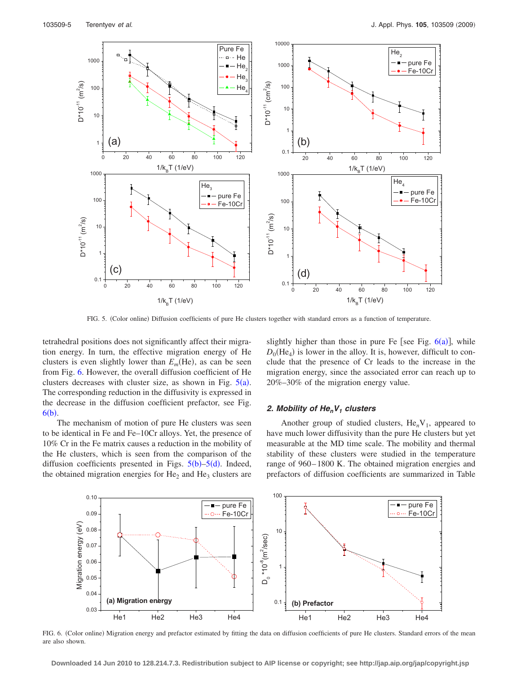<span id="page-4-0"></span>

FIG. 5. (Color online) Diffusion coefficients of pure He clusters together with standard errors as a function of temperature.

tetrahedral positions does not significantly affect their migration energy. In turn, the effective migration energy of He clusters is even slightly lower than  $E_m$ (He), as can be seen from Fig. [6.](#page-4-1) However, the overall diffusion coefficient of He clusters decreases with cluster size, as shown in Fig.  $5(a)$  $5(a)$ . The corresponding reduction in the diffusivity is expressed in the decrease in the diffusion coefficient prefactor, see Fig.  $6(b)$  $6(b)$ .

The mechanism of motion of pure He clusters was seen to be identical in Fe and Fe–10Cr alloys. Yet, the presence of 10% Cr in the Fe matrix causes a reduction in the mobility of the He clusters, which is seen from the comparison of the diffusion coefficients presented in Figs.  $5(b)$  $5(b)$ – $5(d)$ . Indeed, the obtained migration energies for  $He_2$  and  $He_3$  clusters are

slightly higher than those in pure Fe [see Fig.  $6(a)$  $6(a)$ ], while  $D_0$ (He<sub>4</sub>) is lower in the alloy. It is, however, difficult to conclude that the presence of Cr leads to the increase in the migration energy, since the associated error can reach up to 20%–30% of the migration energy value.

#### *2. Mobility of He<sub>n</sub>V<sub>1</sub> clusters*

Another group of studied clusters,  $He_nV_1$ , appeared to have much lower diffusivity than the pure He clusters but yet measurable at the MD time scale. The mobility and thermal stability of these clusters were studied in the temperature range of 960–1800 K. The obtained migration energies and prefactors of diffusion coefficients are summarized in Table

<span id="page-4-1"></span>

FIG. 6. (Color online) Migration energy and prefactor estimated by fitting the data on diffusion coefficients of pure He clusters. Standard errors of the mean are also shown.

**Downloaded 14 Jun 2010 to 128.214.7.3. Redistribution subject to AIP license or copyright; see http://jap.aip.org/jap/copyright.jsp**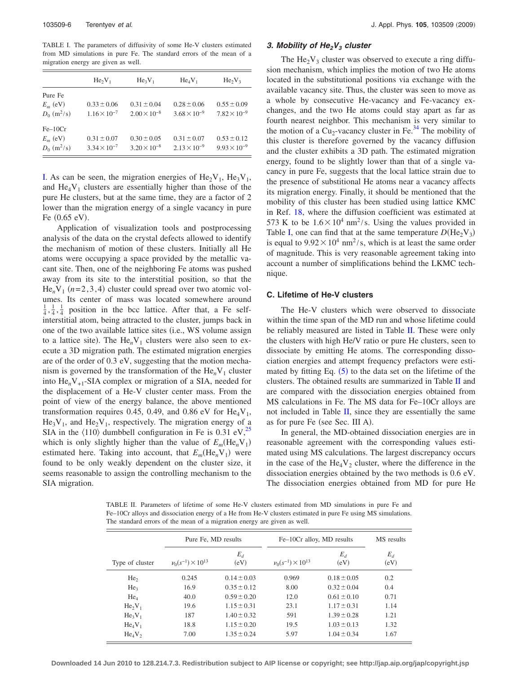<span id="page-5-0"></span>TABLE I. The parameters of diffusivity of some He-V clusters estimated from MD simulations in pure Fe. The standard errors of the mean of a migration energy are given as well.

|                           | $He_2V_1$             | $He_3V_1$             | $He_4V_1$             | $He_2V_3$             |
|---------------------------|-----------------------|-----------------------|-----------------------|-----------------------|
| Pure Fe                   |                       |                       |                       |                       |
| $E_m$ (eV)                | $0.33 \pm 0.06$       | $0.31 \pm 0.04$       | $0.28 \pm 0.06$       | $0.55 \pm 0.09$       |
| $D_0$ (m <sup>2</sup> /s) | $1.16 \times 10^{-7}$ | $2.00 \times 10^{-8}$ | $3.68 \times 10^{-9}$ | $7.82 \times 10^{-9}$ |
| $Fe-10Cr$                 |                       |                       |                       |                       |
| $E_m$ (eV)                | $0.31 \pm 0.07$       | $0.30 \pm 0.05$       | $0.31 \pm 0.07$       | $0.53 \pm 0.12$       |
| $D_0$ (m <sup>2</sup> /s) | $3.34 \times 10^{-7}$ | $3.20 \times 10^{-8}$ | $2.13 \times 10^{-9}$ | $9.93 \times 10^{-9}$ |

[I.](#page-5-0) As can be seen, the migration energies of  $\text{He}_2\text{V}_1$ ,  $\text{He}_3\text{V}_1$ , and  $\text{He}_4\text{V}_1$  clusters are essentially higher than those of the pure He clusters, but at the same time, they are a factor of 2 lower than the migration energy of a single vacancy in pure Fe  $(0.65 \text{ eV})$ .

Application of visualization tools and postprocessing analysis of the data on the crystal defects allowed to identify the mechanism of motion of these clusters. Initially all He atoms were occupying a space provided by the metallic vacant site. Then, one of the neighboring Fe atoms was pushed away from its site to the interstitial position, so that the  $He_nV_1$   $(n=2,3,4)$  cluster could spread over two atomic volumes. Its center of mass was located somewhere around  $\frac{1}{4}, \frac{1}{4}, \frac{1}{4}$  position in the bcc lattice. After that, a Fe selfinterstitial atom, being attracted to the cluster, jumps back in one of the two available lattice sites (i.e., WS volume assign to a lattice site). The  $He_nV_1$  clusters were also seen to execute a 3D migration path. The estimated migration energies are of the order of 0.3 eV, suggesting that the motion mechanism is governed by the transformation of the  $He_nV_1$  cluster into  $\text{He}_n\text{V}_{+1}$ -SIA complex or migration of a SIA, needed for the displacement of a He-V cluster center mass. From the point of view of the energy balance, the above mentioned transformation requires 0.45, 0.49, and 0.86 eV for  $He_4V_1$ ,  $\text{He}_3\text{V}_1$ , and  $\text{He}_2\text{V}_1$ , respectively. The migration energy of a SIA in the  $\langle 110 \rangle$  dumbbell configuration in Fe is 0.31 eV,<sup>25</sup> which is only slightly higher than the value of  $E_m(\text{He}_n\text{V}_1)$ estimated here. Taking into account, that  $E_m(\text{He}_n\text{V}_1)$  were found to be only weakly dependent on the cluster size, it seems reasonable to assign the controlling mechanism to the SIA migration.

# 3. Mobility of He<sub>2</sub>V<sub>3</sub> cluster

The  $\text{He}_2\text{V}_3$  cluster was observed to execute a ring diffusion mechanism, which implies the motion of two He atoms located in the substitutional positions via exchange with the available vacancy site. Thus, the cluster was seen to move as a whole by consecutive He-vacancy and Fe-vacancy exchanges, and the two He atoms could stay apart as far as fourth nearest neighbor. This mechanism is very similar to the motion of a  $Cu_2$ -vacancy cluster in Fe.<sup>34</sup> The mobility of this cluster is therefore governed by the vacancy diffusion and the cluster exhibits a 3D path. The estimated migration energy, found to be slightly lower than that of a single vacancy in pure Fe, suggests that the local lattice strain due to the presence of substitional He atoms near a vacancy affects its migration energy. Finally, it should be mentioned that the mobility of this cluster has been studied using lattice KMC in Ref. [18,](#page-11-11) where the diffusion coefficient was estimated at 573 K to be  $1.6 \times 10^4$  nm<sup>2</sup>/s. Using the values provided in Table [I,](#page-5-0) one can find that at the same temperature  $D(\text{He}_2\text{V}_3)$ is equal to  $9.92 \times 10^4$  nm<sup>2</sup>/s, which is at least the same order of magnitude. This is very reasonable agreement taking into account a number of simplifications behind the LKMC technique.

# **C. Lifetime of He-V clusters**

The He-V clusters which were observed to dissociate within the time span of the MD run and whose lifetime could be reliably measured are listed in Table [II.](#page-5-1) These were only the clusters with high He/V ratio or pure He clusters, seen to dissociate by emitting He atoms. The corresponding dissociation energies and attempt frequency prefactors were estimated by fitting Eq.  $(5)$  $(5)$  $(5)$  to the data set on the lifetime of the clusters. The obtained results are summarized in Table [II](#page-5-1) and are compared with the dissociation energies obtained from MS calculations in Fe. The MS data for Fe–10Cr alloys are not included in Table [II,](#page-5-1) since they are essentially the same as for pure Fe (see Sec. III A).

In general, the MD-obtained dissociation energies are in reasonable agreement with the corresponding values estimated using MS calculations. The largest discrepancy occurs in the case of the  $\text{He}_4\text{V}_2$  cluster, where the difference in the dissociation energies obtained by the two methods is 0.6 eV. The dissociation energies obtained from MD for pure He

<span id="page-5-1"></span>TABLE II. Parameters of lifetime of some He-V clusters estimated from MD simulations in pure Fe and Fe–10Cr alloys and dissociation energy of a He from He-V clusters estimated in pure Fe using MS simulations. The standard errors of the mean of a migration energy are given as well.

|                 | Pure Fe. MD results            |                 | Fe-10Cr alloy, MD results      |                 | MS results    |
|-----------------|--------------------------------|-----------------|--------------------------------|-----------------|---------------|
| Type of cluster | $\nu_0(s^{-1}) \times 10^{13}$ | $E_d$<br>(eV)   | $\nu_0(s^{-1}) \times 10^{13}$ | $E_d$<br>(eV)   | $E_d$<br>(eV) |
| He <sub>2</sub> | 0.245                          | $0.14 \pm 0.03$ | 0.969                          | $0.18 \pm 0.05$ | 0.2           |
| He <sub>3</sub> | 16.9                           | $0.35 \pm 0.12$ | 8.00                           | $0.32 \pm 0.04$ | 0.4           |
| $He_4$          | 40.0                           | $0.59 \pm 0.20$ | 12.0                           | $0.61 \pm 0.10$ | 0.71          |
| $He_2V_1$       | 19.6                           | $1.15 \pm 0.31$ | 23.1                           | $1.17 \pm 0.31$ | 1.14          |
| $He_3V_1$       | 187                            | $1.40 \pm 0.32$ | 591                            | $1.39 \pm 0.28$ | 1.21          |
| $He_4V_1$       | 18.8                           | $1.15 \pm 0.20$ | 19.5                           | $1.03 \pm 0.13$ | 1.32          |
| $He_4V_2$       | 7.00                           | $1.35 \pm 0.24$ | 5.97                           | $1.04 \pm 0.34$ | 1.67          |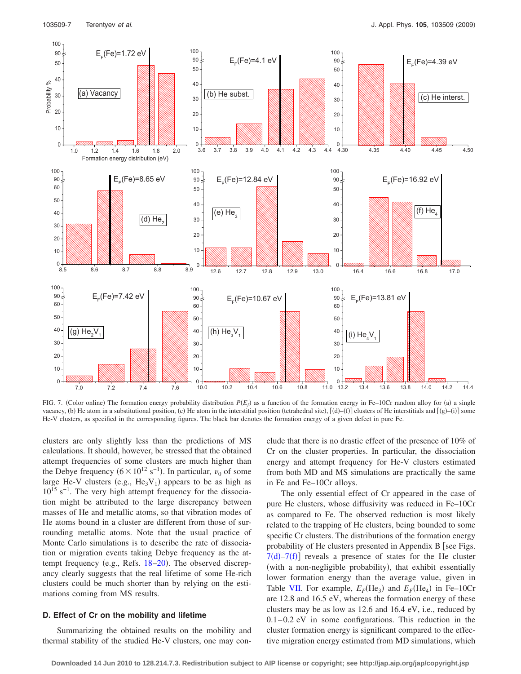<span id="page-6-0"></span>

FIG. 7. (Color online) The formation energy probability distribution  $P(E_f)$  as a function of the formation energy in Fe–10Cr random alloy for (a) a single vacancy, (b) He atom in a substitutional position, (c) He atom in the interstitial position (tetrahedral site),  $[(d) - (f)]$  clusters of He interstitials and  $[(g) - (i)]$  some He-V clusters, as specified in the corresponding figures. The black bar denotes the formation energy of a given defect in pure Fe.

clusters are only slightly less than the predictions of MS calculations. It should, however, be stressed that the obtained attempt frequencies of some clusters are much higher than the Debye frequency  $(6 \times 10^{12} \text{ s}^{-1})$ . In particular,  $\nu_0$  of some large He-V clusters (e.g.,  $He_3V_1$ ) appears to be as high as 10<sup>15</sup> s<sup>-1</sup>. The very high attempt frequency for the dissociation might be attributed to the large discrepancy between masses of He and metallic atoms, so that vibration modes of He atoms bound in a cluster are different from those of surrounding metallic atoms. Note that the usual practice of Monte Carlo simulations is to describe the rate of dissociation or migration events taking Debye frequency as the at-tempt frequency (e.g., Refs. [18](#page-11-11)-20). The observed discrepancy clearly suggests that the real lifetime of some He-rich clusters could be much shorter than by relying on the estimations coming from MS results.

#### **D. Effect of Cr on the mobility and lifetime**

Summarizing the obtained results on the mobility and thermal stability of the studied He-V clusters, one may conclude that there is no drastic effect of the presence of 10% of Cr on the cluster properties. In particular, the dissociation energy and attempt frequency for He-V clusters estimated from both MD and MS simulations are practically the same in Fe and Fe–10Cr alloys.

The only essential effect of Cr appeared in the case of pure He clusters, whose diffusivity was reduced in Fe–10Cr as compared to Fe. The observed reduction is most likely related to the trapping of He clusters, being bounded to some specific Cr clusters. The distributions of the formation energy probability of He clusters presented in Appendix B [see Figs.  $7(d) - 7(f)$  $7(d) - 7(f)$  reveals a presence of states for the He cluster (with a non-negligible probability), that exhibit essentially lower formation energy than the average value, given in Table [VII.](#page-10-0) For example,  $E_F$ (He<sub>3</sub>) and  $E_F$ (He<sub>4</sub>) in Fe–10Cr are 12.8 and 16.5 eV, whereas the formation energy of these clusters may be as low as 12.6 and 16.4 eV, i.e., reduced by  $0.1-0.2$  eV in some configurations. This reduction in the cluster formation energy is significant compared to the effective migration energy estimated from MD simulations, which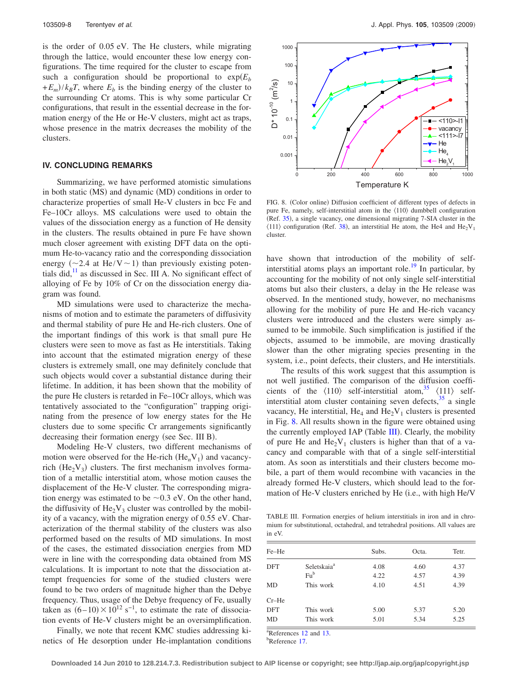is the order of 0.05 eV. The He clusters, while migrating through the lattice, would encounter these low energy configurations. The time required for the cluster to escape from such a configuration should be proportional to  $exp(E<sub>b</sub>)$  $+E_m$ / $k_B T$ , where  $E_b$  is the binding energy of the cluster to the surrounding Cr atoms. This is why some particular Cr configurations, that result in the essential decrease in the formation energy of the He or He-V clusters, might act as traps, whose presence in the matrix decreases the mobility of the clusters.

#### **IV. CONCLUDING REMARKS**

Summarizing, we have performed atomistic simulations in both static (MS) and dynamic (MD) conditions in order to characterize properties of small He-V clusters in bcc Fe and Fe–10Cr alloys. MS calculations were used to obtain the values of the dissociation energy as a function of He density in the clusters. The results obtained in pure Fe have shown much closer agreement with existing DFT data on the optimum He-to-vacancy ratio and the corresponding dissociation energy ( $\sim$ 2.4 at He/V $\sim$ 1) than previously existing potentials did, $^{11}$  as discussed in Sec. III A. No significant effect of alloying of Fe by 10% of Cr on the dissociation energy diagram was found.

MD simulations were used to characterize the mechanisms of motion and to estimate the parameters of diffusivity and thermal stability of pure He and He-rich clusters. One of the important findings of this work is that small pure He clusters were seen to move as fast as He interstitials. Taking into account that the estimated migration energy of these clusters is extremely small, one may definitely conclude that such objects would cover a substantial distance during their lifetime. In addition, it has been shown that the mobility of the pure He clusters is retarded in Fe–10Cr alloys, which was tentatively associated to the "configuration" trapping originating from the presence of low energy states for the He clusters due to some specific Cr arrangements significantly decreasing their formation energy (see Sec. III B).

Modeling He-V clusters, two different mechanisms of motion were observed for the He-rich  $(He_nV_1)$  and vacancyrich ( $\text{He}_2\text{V}_3$ ) clusters. The first mechanism involves formation of a metallic interstitial atom, whose motion causes the displacement of the He-V cluster. The corresponding migration energy was estimated to be  $\sim 0.3$  eV. On the other hand, the diffusivity of  $\text{He}_2\text{V}_3$  cluster was controlled by the mobility of a vacancy, with the migration energy of 0.55 eV. Characterization of the thermal stability of the clusters was also performed based on the results of MD simulations. In most of the cases, the estimated dissociation energies from MD were in line with the corresponding data obtained from MS calculations. It is important to note that the dissociation attempt frequencies for some of the studied clusters were found to be two orders of magnitude higher than the Debye frequency. Thus, usage of the Debye frequency of Fe, usually taken as  $(6-10) \times 10^{12}$  s<sup>-1</sup>, to estimate the rate of dissociation events of He-V clusters might be an oversimplification.

Finally, we note that recent KMC studies addressing kinetics of He desorption under He-implantation conditions

<span id="page-7-0"></span>

FIG. 8. (Color online) Diffusion coefficient of different types of defects in pure Fe, namely, self-interstitial atom in the  $\langle 110 \rangle$  dumbbell configuration (Ref. [35](#page-11-25)), a single vacancy, one dimensional migrating 7-SIA cluster in the  $\langle 111 \rangle$  configuration (Ref. [38](#page-11-26)), an interstitial He atom, the He4 and He<sub>2</sub>V<sub>1</sub> cluster.

have shown that introduction of the mobility of selfinterstitial atoms plays an important role.<sup>19</sup> In particular, by accounting for the mobility of not only single self-interstitial atoms but also their clusters, a delay in the He release was observed. In the mentioned study, however, no mechanisms allowing for the mobility of pure He and He-rich vacancy clusters were introduced and the clusters were simply assumed to be immobile. Such simplification is justified if the objects, assumed to be immobile, are moving drastically slower than the other migrating species presenting in the system, i.e., point defects, their clusters, and He interstitials.

The results of this work suggest that this assumption is not well justified. The comparison of the diffusion coefficients of the  $\langle 110 \rangle$  self-interstitial atom,<sup>35</sup>  $\langle 111 \rangle$  selfinterstitial atom cluster containing seven defects,  $3<sup>35</sup>$  a single vacancy, He interstitial,  $He_4$  and  $He_2V_1$  clusters is presented in Fig. [8.](#page-7-0) All results shown in the figure were obtained using the currently employed IAP (Table [III](#page-7-1)). Clearly, the mobility of pure He and  $\text{He}_2\text{V}_1$  clusters is higher than that of a vacancy and comparable with that of a single self-interstitial atom. As soon as interstitials and their clusters become mobile, a part of them would recombine with vacancies in the already formed He-V clusters, which should lead to the formation of He-V clusters enriched by He (i.e., with high He/V

<span id="page-7-1"></span>TABLE III. Formation energies of helium interstitials in iron and in chromium for substitutional, octahedral, and tetrahedral positions. All values are in eV.

| Fe-He      |                         | Subs. | Octa. | Tetr. |
|------------|-------------------------|-------|-------|-------|
| <b>DFT</b> | Seletskaia <sup>a</sup> | 4.08  | 4.60  | 4.37  |
|            | $Fu^b$                  | 4.22  | 4.57  | 4.39  |
| MD         | This work               | 4.10  | 4.51  | 4.39  |
| $Cr-He$    |                         |       |       |       |
| <b>DFT</b> | This work               | 5.00  | 5.37  | 5.20  |
| MD         | This work               | 5.01  | 5.34  | 5.25  |
| $9 - 2$    | .                       |       |       |       |

 $a^2$ References [12](#page-11-10) and [13.](#page-11-27) <sup>b</sup>Reference [17.](#page-11-9)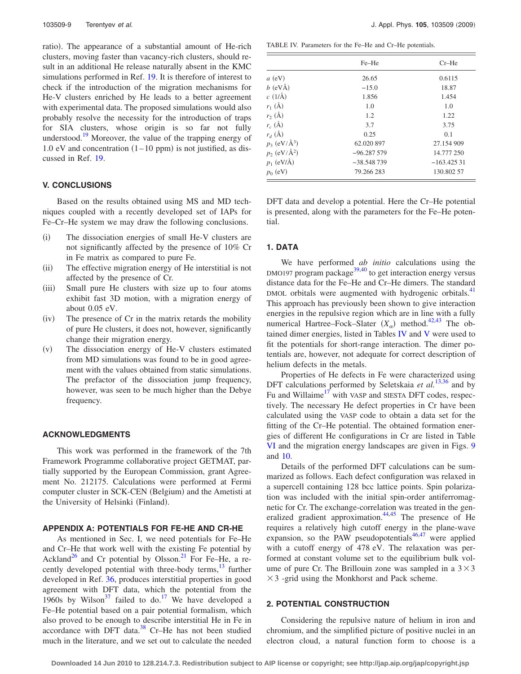ratio). The appearance of a substantial amount of He-rich clusters, moving faster than vacancy-rich clusters, should result in an additional He release naturally absent in the KMC simulations performed in Ref. [19.](#page-11-12) It is therefore of interest to check if the introduction of the migration mechanisms for He-V clusters enriched by He leads to a better agreement with experimental data. The proposed simulations would also probably resolve the necessity for the introduction of traps for SIA clusters, whose origin is so far not fully understood.<sup>19</sup> Moreover, the value of the trapping energy of 1.0 eV and concentration  $(1-10$  ppm) is not justified, as discussed in Ref. [19.](#page-11-12)

#### **V. CONCLUSIONS**

Based on the results obtained using MS and MD techniques coupled with a recently developed set of IAPs for Fe–Cr–He system we may draw the following conclusions.

- $(i)$  The dissociation energies of small He-V clusters are not significantly affected by the presence of 10% Cr in Fe matrix as compared to pure Fe.
- $(ii)$  The effective migration energy of He interstitial is not affected by the presence of Cr.
- $(iii)$  Small pure He clusters with size up to four atoms exhibit fast 3D motion, with a migration energy of about 0.05 eV.
- $(iv)$  The presence of Cr in the matrix retards the mobility of pure He clusters, it does not, however, significantly change their migration energy.
- $(v)$  The dissociation energy of He-V clusters estimated from MD simulations was found to be in good agreement with the values obtained from static simulations. The prefactor of the dissociation jump frequency, however, was seen to be much higher than the Debye frequency.

# **ACKNOWLEDGMENTS**

This work was performed in the framework of the 7th Framework Programme collaborative project GETMAT, partially supported by the European Commission, grant Agreement No. 212175. Calculations were performed at Fermi computer cluster in SCK-CEN (Belgium) and the Ametisti at the University of Helsinki (Finland).

# **APPENDIX A: POTENTIALS FOR FE-HE AND CR-HE**

As mentioned in Sec. I, we need potentials for Fe–He and Cr–He that work well with the existing Fe potential by Ackland<sup>26</sup> and Cr potential by Olsson.<sup>21</sup> For Fe–He, a recently developed potential with three-body terms, $13$  further developed in Ref. [36,](#page-11-28) produces interstitial properties in good agreement with DFT data, which the potential from the 1960s by Wilson<sup>37</sup> failed to do.<sup>17</sup> We have developed a Fe–He potential based on a pair potential formalism, which also proved to be enough to describe interstitial He in Fe in accordance with DFT data. $38$  Cr–He has not been studied much in the literature, and we set out to calculate the needed

<span id="page-8-0"></span>TABLE IV. Parameters for the Fe–He and Cr–He potentials.

|                           | Fe-He        | $Cr-He$      |  |
|---------------------------|--------------|--------------|--|
| $a$ (eV)                  | 26.65        | 0.6115       |  |
| $b$ (eVÅ)                 | $-15.0$      | 18.87        |  |
| $c(1/\text{\AA})$         | 1.856        | 1.454        |  |
| $r_1$ (Å)                 | 1.0          | 1.0          |  |
| $r_2(A)$                  | 1.2          | 1.22         |  |
| $r_c$ (Å)                 | 3.7          | 3.75         |  |
| $r_d$ (Å)                 | 0.25         | 0.1          |  |
| $p_3$ (eV/ $\AA^3$ )      | 62.020 897   | 27.154 909   |  |
| $p_2$ (eV/ $\rm{\AA}^2$ ) | $-96.287579$ | 14.777 250   |  |
| $p_1$ (eV/Å)              | $-38.548739$ | $-163.42531$ |  |
| $p_0$ (eV)                | 79.266 283   | 130.802 57   |  |

DFT data and develop a potential. Here the Cr–He potential is presented, along with the parameters for the Fe–He potential.

# **1. DATA**

We have performed *ab initio* calculations using the  $DMO197$  program package<sup>39,[40](#page-11-31)</sup> to get interaction energy versus distance data for the Fe–He and Cr–He dimers. The standard DMOL orbitals were augmented with hydrogenic orbitals.<sup>41</sup> This approach has previously been shown to give interaction energies in the repulsive region which are in line with a fully numerical Hartree–Fock–Slater  $(X_{\alpha})$  method.<sup>42[,43](#page-11-34)</sup> The obtained dimer energies, listed in Tables [IV](#page-8-0) and [V](#page-9-0) were used to fit the potentials for short-range interaction. The dimer potentials are, however, not adequate for correct description of helium defects in the metals.

Properties of He defects in Fe were characterized using DFT calculations performed by Seletskaia *et al.*<sup>[13](#page-11-27)[,36](#page-11-28)</sup> and by Fu and Willaime<sup>17</sup> with VASP and SIESTA DFT codes, respectively. The necessary He defect properties in Cr have been calculated using the VASP code to obtain a data set for the fitting of the Cr–He potential. The obtained formation energies of different He configurations in Cr are listed in Table [VI](#page-9-1) and the migration energy landscapes are given in Figs. [9](#page-10-1) and [10.](#page-10-2)

Details of the performed DFT calculations can be summarized as follows. Each defect configuration was relaxed in a supercell containing 128 bcc lattice points. Spin polarization was included with the initial spin-order antiferromagnetic for Cr. The exchange-correlation was treated in the gen-eralized gradient approximation.<sup>44,[45](#page-11-36)</sup> The presence of He requires a relatively high cutoff energy in the plane-wave expansion, so the PAW pseudopotentials<sup>46,[47](#page-11-38)</sup> were applied with a cutoff energy of 478 eV. The relaxation was performed at constant volume set to the equilibrium bulk volume of pure Cr. The Brillouin zone was sampled in a  $3 \times 3$  $\times$  3 -grid using the Monkhorst and Pack scheme.

### **2. POTENTIAL CONSTRUCTION**

Considering the repulsive nature of helium in iron and chromium, and the simplified picture of positive nuclei in an electron cloud, a natural function form to choose is a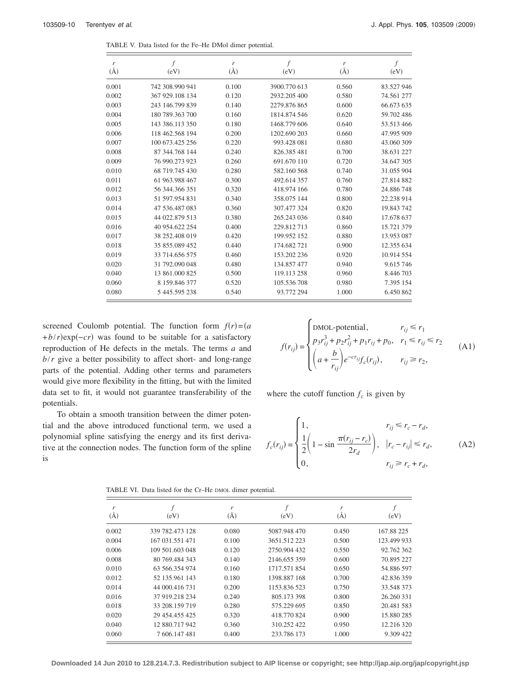<span id="page-9-0"></span>

| r<br>$(\AA)$ | $\int$<br>(eV)  | r<br>$(\AA)$ | f<br>(eV)    | r<br>$(\AA)$ | f<br>(eV)  |
|--------------|-----------------|--------------|--------------|--------------|------------|
| 0.001        | 742 308.990 941 | 0.100        | 3900.770 613 | 0.560        | 83.527 946 |
| 0.002        | 367 929.108 134 | 0.120        | 2932.205 400 | 0.580        | 74.561 277 |
| 0.003        | 243 146.799 839 | 0.140        | 2279.876865  | 0.600        | 66.673 635 |
| 0.004        | 180 789.363 700 | 0.160        | 1814.874.546 | 0.620        | 59.702 486 |
| 0.005        | 143 386.113 350 | 0.180        | 1468.779 606 | 0.640        | 53.513 466 |
| 0.006        | 118 462.568 194 | 0.200        | 1202.690 203 | 0.660        | 47.995 909 |
| 0.007        | 100 673.425 256 | 0.220        | 993.428 081  | 0.680        | 43.060 309 |
| 0.008        | 87 344.768 144  | 0.240        | 826.385481   | 0.700        | 38.631 227 |
| 0.009        | 76 990.273 923  | 0.260        | 691.670 110  | 0.720        | 34.647 305 |
| 0.010        | 68 719.745 430  | 0.280        | 582.160 568  | 0.740        | 31.055 904 |
| 0.011        | 61 963.988 467  | 0.300        | 492.614 357  | 0.760        | 27.814 882 |
| 0.012        | 56 344 366 351  | 0.320        | 418.974 166  | 0.780        | 24.886748  |
| 0.013        | 51 597 954 831  | 0.340        | 358.075 144  | 0.800        | 22.238 914 |
| 0.014        | 47 536.487 083  | 0.360        | 307.477 324  | 0.820        | 19.843 742 |
| 0.015        | 44 022.879 513  | 0.380        | 265.243 036  | 0.840        | 17.678 637 |
| 0.016        | 40 954.622 254  | 0.400        | 229.812713   | 0.860        | 15.721 379 |
| 0.017        | 38 252.408 019  | 0.420        | 199.952 152  | 0.880        | 13.953 087 |
| 0.018        | 35 855.089 452  | 0.440        | 174.682721   | 0.900        | 12.355 634 |
| 0.019        | 33 714.656 575  | 0.460        | 153.202 236  | 0.920        | 10.914 554 |
| 0.020        | 31 792,090 048  | 0.480        | 134.857 477  | 0.940        | 9.615 746  |
| 0.040        | 13 861,000 825  | 0.500        | 119.113 258  | 0.960        | 8.446 703  |
| 0.060        | 8 159 846 377   | 0.520        | 105.536 708  | 0.980        | 7.395 154  |
| 0.080        | 5 445.595 238   | 0.540        | 93.772 294   | 1.000        | 6.450 862  |

TABLE V. Data listed for the Fe–He DMol dimer potential.

screened Coulomb potential. The function form  $f(r) = (a$ +*b*/*r*)exp(-*cr*) was found to be suitable for a satisfactory reproduction of He defects in the metals. The terms *a* and *b*/*r* give a better possibility to affect short- and long-range parts of the potential. Adding other terms and parameters would give more flexibility in the fitting, but with the limited data set to fit, it would not guarantee transferability of the potentials.

To obtain a smooth transition between the dimer potential and the above introduced functional term, we used a polynomial spline satisfying the energy and its first derivative at the connection nodes. The function form of the spline is

$$
f(r_{ij}) = \begin{cases} \text{DMOL-potential}, & r_{ij} \le r_1 \\ p_3 r_{ij}^3 + p_2 r_{ij}^2 + p_1 r_{ij} + p_0, & r_1 \le r_{ij} \le r_2 \\ \left( a + \frac{b}{r_{ij}} \right) e^{-c r_{ij}} f_c(r_{ij}), & r_{ij} \ge r_2, \end{cases}
$$
(A1)

where the cutoff function  $f_c$  is given by

$$
f_c(r_{ij}) = \begin{cases} 1, & r_{ij} \le r_c - r_d, \\ \frac{1}{2} \left( 1 - \sin \frac{\pi (r_{ij} - r_c)}{2r_d} \right), & |r_c - r_{ij}| \le r_d, \\ 0, & r_{ij} \ge r_c + r_d, \end{cases}
$$
(A2)

<span id="page-9-1"></span>

| r<br>$(\AA)$ | (eV)            | r<br>(A) | f<br>(eV)    | r<br>(A) | (eV)        |
|--------------|-----------------|----------|--------------|----------|-------------|
| 0.002        | 339 782.473 128 | 0.080    | 5087.948 470 | 0.450    | 167.88 225  |
| 0.004        | 167 031 551 471 | 0.100    | 3651.512 223 | 0.500    | 123.499 933 |
| 0.006        | 109 501 603 048 | 0.120    | 2750.904 432 | 0.550    | 92.762 362  |
| 0.008        | 80 769 484 343  | 0.140    | 2146.655 359 | 0.600    | 70.895 227  |
| 0.010        | 63 566 354 974  | 0.160    | 1717.571854  | 0.650    | 54.886 597  |
| 0.012        | 52 135.961 143  | 0.180    | 1398.887 168 | 0.700    | 42.836 359  |
| 0.014        | 44 000.416 731  | 0.200    | 1153.836 523 | 0.750    | 33.548 373  |
| 0.016        | 37 919.218 234  | 0.240    | 805.173 398  | 0.800    | 26.260 331  |
| 0.018        | 33 208.159 719  | 0.280    | 575.229 695  | 0.850    | 20.481 583  |
| 0.020        | 29 454.455 425  | 0.320    | 418.770824   | 0.900    | 15.880 285  |
| 0.040        | 12 880.717 942  | 0.360    | 310.252 422  | 0.950    | 12.216 320  |
| 0.060        | 7 606.147 481   | 0.400    | 233.786 173  | 1.000    | 9.309 422   |
|              |                 |          |              |          |             |

TABLE VI. Data listed for the Cr–He DMOL dimer potential.

**Downloaded 14 Jun 2010 to 128.214.7.3. Redistribution subject to AIP license or copyright; see http://jap.aip.org/jap/copyright.jsp**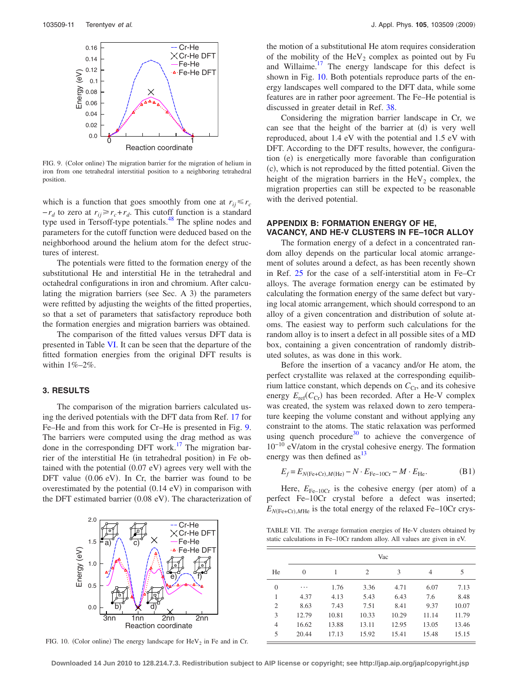<span id="page-10-1"></span>

FIG. 9. (Color online) The migration barrier for the migration of helium in iron from one tetrahedral interstitial position to a neighboring tetrahedral position.

which is a function that goes smoothly from one at  $r_{ij} \le r_c$  $-r_d$  to zero at  $r_{ij} \ge r_c + r_d$ . This cutoff function is a standard type used in Tersoff-type potentials.<sup>48</sup> The spline nodes and parameters for the cutoff function were deduced based on the neighborhood around the helium atom for the defect structures of interest.

The potentials were fitted to the formation energy of the substitutional He and interstitial He in the tetrahedral and octahedral configurations in iron and chromium. After calculating the migration barriers (see Sec. A 3) the parameters were refitted by adjusting the weights of the fitted properties, so that a set of parameters that satisfactory reproduce both the formation energies and migration barriers was obtained.

The comparison of the fitted values versus DFT data is presented in Table [VI.](#page-9-1) It can be seen that the departure of the fitted formation energies from the original DFT results is within 1%–2%.

## **3. RESULTS**

The comparison of the migration barriers calculated using the derived potentials with the DFT data from Ref. [17](#page-11-9) for Fe–He and from this work for Cr–He is presented in Fig. [9.](#page-10-1) The barriers were computed using the drag method as was done in the corresponding DFT work.<sup>17</sup> The migration barrier of the interstitial He (in tetrahedral position) in Fe obtained with the potential  $(0.07 \text{ eV})$  agrees very well with the DFT value  $(0.06 \text{ eV})$ . In Cr, the barrier was found to be overestimated by the potential  $(0.14 \text{ eV})$  in comparison with the DFT estimated barrier (0.08 eV). The characterization of

<span id="page-10-2"></span>

FIG. 10. (Color online) The energy landscape for  $\text{HeV}_2$  in Fe and in Cr.

the motion of a substitutional He atom requires consideration of the mobility of the  $\text{HeV}_2$  complex as pointed out by Fu and Willaime.<sup>17</sup> The energy landscape for this defect is shown in Fig. [10.](#page-10-2) Both potentials reproduce parts of the energy landscapes well compared to the DFT data, while some features are in rather poor agreement. The Fe–He potential is discussed in greater detail in Ref. [38.](#page-11-26)

Considering the migration barrier landscape in Cr, we can see that the height of the barrier at (d) is very well reproduced, about 1.4 eV with the potential and 1.5 eV with DFT. According to the DFT results, however, the configuration (e) is energetically more favorable than configuration (c), which is not reproduced by the fitted potential. Given the height of the migration barriers in the  $\text{HeV}_2$  complex, the migration properties can still be expected to be reasonable with the derived potential.

# **APPENDIX B: FORMATION ENERGY OF HE, VACANCY, AND HE-V CLUSTERS IN FE–10CR ALLOY**

The formation energy of a defect in a concentrated random alloy depends on the particular local atomic arrangement of solutes around a defect, as has been recently shown in Ref. [25](#page-11-15) for the case of a self-interstitial atom in Fe–Cr alloys. The average formation energy can be estimated by calculating the formation energy of the same defect but varying local atomic arrangement, which should correspond to an alloy of a given concentration and distribution of solute atoms. The easiest way to perform such calculations for the random alloy is to insert a defect in all possible sites of a MD box, containing a given concentration of randomly distributed solutes, as was done in this work.

Before the insertion of a vacancy and/or He atom, the perfect crystallite was relaxed at the corresponding equilibrium lattice constant, which depends on  $C_{\text{Cr}}$ , and its cohesive energy  $E_{\text{ref}}(C_{\text{Cr}})$  has been recorded. After a He-V complex was created, the system was relaxed down to zero temperature keeping the volume constant and without applying any constraint to the atoms. The static relaxation was performed using quench procedure<sup>30</sup> to achieve the convergence of 10−10 eV/atom in the crystal cohesive energy. The formation energy was then defined as  $13$ 

$$
E_f = E_{N(\text{Fe} + \text{Cr}), M(\text{He})} - N \cdot E_{\text{Fe}-10\text{Cr}} - M \cdot E_{\text{He}}.\tag{B1}
$$

Here,  $E_{\text{Fe}-10Cr}$  is the cohesive energy (per atom) of a perfect Fe–10Cr crystal before a defect was inserted;  $E_{N(\text{Fe}+\text{Cr}), M\text{He}}$  is the total energy of the relaxed Fe–10Cr crys-

<span id="page-10-0"></span>TABLE VII. The average formation energies of He-V clusters obtained by static calculations in Fe–10Cr random alloy. All values are given in eV.

|                | Vac      |       |       |       |       |       |  |
|----------------|----------|-------|-------|-------|-------|-------|--|
| He             | $\Omega$ | 1     | 2     | 3     | 4     | 5     |  |
| $\overline{0}$ | .        | 1.76  | 3.36  | 4.71  | 6.07  | 7.13  |  |
| 1              | 4.37     | 4.13  | 5.43  | 6.43  | 7.6   | 8.48  |  |
| $\overline{2}$ | 8.63     | 7.43  | 7.51  | 8.41  | 9.37  | 10.07 |  |
| 3              | 12.79    | 10.81 | 10.33 | 10.29 | 11.14 | 11.79 |  |
| 4              | 16.62    | 13.88 | 13.11 | 12.95 | 13.05 | 13.46 |  |
| 5              | 20.44    | 17.13 | 15.92 | 15.41 | 15.48 | 15.15 |  |

**Downloaded 14 Jun 2010 to 128.214.7.3. Redistribution subject to AIP license or copyright; see http://jap.aip.org/jap/copyright.jsp**